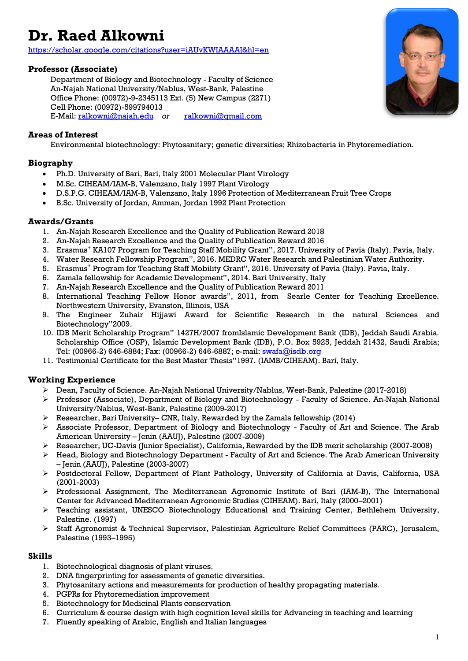# **Dr. Raed Alkowni**

<https://scholar.google.com/citations?user=iAUvKWIAAAAJ&hl=en>

# **Professor (Associate)**

Department of Biology and Biotechnology - Faculty of Science An-Najah National University/Nablus, West-Bank, Palestine Office Phone: (00972)-9-2345113 Ext. (5) New Campus (2271) Cell Phone: (00972)-599794013 E-Mail[: ralkowni@najah.edu](mailto:ralkowni@najah.edu) *or* [ralkowni@gmail.com](mailto:ralkowni@gmail.com)

## **Areas of Interest**

Environmental biotechnology: Phytosanitary; genetic diversities; Rhizobacteria in Phytoremediation.

## **Biography**

- Ph.D. University of Bari, Bari, Italy 2001 Molecular Plant Virology
- M.Sc. CIHEAM/IAM-B, Valenzano, Italy 1997 Plant Virology
- D.S.P.G. CIHEAM/IAM-B, Valenzano, Italy 1996 Protection of Mediterranean Fruit Tree Crops
- B.Sc. University of Jordan, Amman, Jordan 1992 Plant Protection

# **Awards/Grants**

- 1. An-Najah Research Excellence and the Quality of Publication Reward 2018
- 2. An-Najah Research Excellence and the Quality of Publication Reward 2016
- 3. Erasmus<sup>+</sup> KA107 Program for Teaching Staff Mobility Grant", 2017. University of Pavia (Italy). Pavia, Italy.
- 4. Water Research Fellowship Program", 2016. MEDRC Water Research and Palestinian Water Authority.
- 5. Erasmus<sup>+</sup> Program for Teaching Staff Mobility Grant", 2016. University of Pavia (Italy). Pavia, Italy.
- 6. Zamala fellowship for Academic Development", 2014. Bari University, Italy
- 7. An-Najah Research Excellence and the Quality of Publication Reward 2011
- 8. International Teaching Fellow Honor awards", 2011, from Searle Center for Teaching Excellence. Northwestern University, Evanston, Illinois, USA
- 9. The Engineer Zuhair Hijjawi Award for Scientific Research in the natural Sciences and Biotechnology"2009.
- 10. IDB Merit Scholarship Program" 1427H/2007 fromIslamic Development Bank (IDB), Jeddah Saudi Arabia. Scholarship Office (OSP), Islamic Development Bank (IDB), P.O. Box 5925, Jeddah 21432, Saudi Arabia; Tel: (00966-2) 646-6884; Fax: (00966-2) 646-6887; e-mail: [swafa@isdb.org](mailto:swafa@isdb.org)
- 11. Testimonial Certificate for the Best Master Thesis"1997. (IAMB/CIHEAM). Bari, Italy.

# **Working Experience**

- Dean, Faculty of Science. An-Najah National University/Nablus, West-Bank, Palestine (2017-2018)
- Professor (Associate), Department of Biology and Biotechnology Faculty of Science. An-Najah National University/Nablus, West-Bank, Palestine (2009-2017)
- $\triangleright$  Researcher, Bari University– CNR, Italy, Rewarded by the Zamala fellowship (2014)
- $\triangleright$  Associate Professor, Department of Biology and Biotechnology Faculty of Art and Science. The Arab American University – Jenin (AAUJ), Palestine (2007-2009)
- Researcher, UC-Davis (Junior Specialist), California, Rewarded by the IDB merit scholarship (2007-2008)
- Head, Biology and Biotechnology Department Faculty of Art and Science. The Arab American University – Jenin (AAUJ), Palestine (2003-2007)
- Postdoctoral Fellow, Department of Plant Pathology, University of California at Davis, California, USA (2001-2003)
- Professional Assignment, The Mediterranean Agronomic Institute of Bari (IAM-B), The International Center for Advanced Mediterranean Agronomic Studies (CIHEAM). Bari, Italy (2000–2001)
- Teaching assistant, UNESCO Biotechnology Educational and Training Center, Bethlehem University, Palestine. (1997)
- Staff Agronomist & Technical Supervisor, Palestinian Agriculture Relief Committees (PARC), Jerusalem, Palestine (1993–1995)

#### **Skills**

- 1. Biotechnological diagnosis of plant viruses.
- 2. DNA fingerprinting for assessments of genetic diversities.
- 3. Phytosanitary actions and measurements for production of healthy propagating materials.
- 4. PGPRs for Phytoremediation improvement
- 5. Biotechnology for Medicinal Plants conservation
- 6. Curriculum & course design with high cognition level skills for Advancing in teaching and learning
- 7. Fluently speaking of Arabic, English and Italian languages

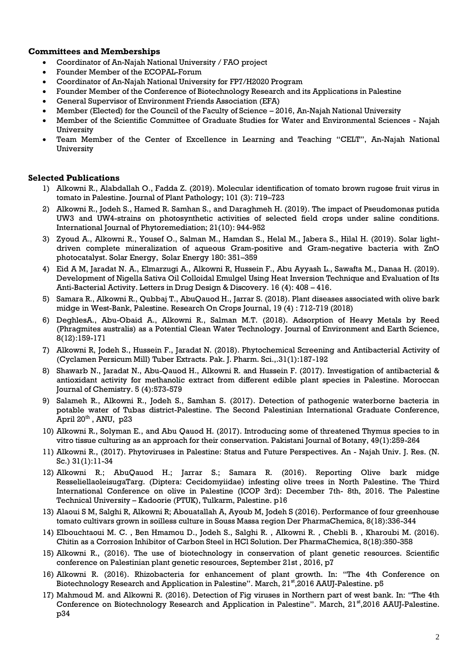#### **Committees and Memberships**

- Coordinator of An-Najah National University / FAO project
- Founder Member of the ECOPAL-Forum
- Coordinator of An-Najah National University for FP7/H2020 Program
- Founder Member of the Conference of Biotechnology Research and its Applications in Palestine
- General Supervisor of Environment Friends Association (EFA)
- Member (Elected) for the Council of the Faculty of Science 2016, An-Najah National University
- Member of the Scientific Committee of Graduate Studies for Water and Environmental Sciences Najah University
- Team Member of the Center of Excellence in Learning and Teaching "CELT", An-Najah National **University**

#### **Selected Publications**

- 1) Alkowni R., Alabdallah O., Fadda Z. (2019). Molecular identification of tomato brown rugose fruit virus in tomato in Palestine. Journal of Plant Pathology; 101 (3): 719–723
- 2) Alkowni R., Jodeh S., Hamed R. Samhan S., and Daraghmeh H. (2019). The impact of Pseudomonas putida UW3 and UW4-strains on photosynthetic activities of selected field crops under saline conditions. International Journal of Phytoremediation; 21(10): 944-952
- 3) Zyoud A., Alkowni R., Yousef O., Salman M., Hamdan S., Helal M., Jabera S., Hilal H. (2019). Solar lightdriven complete mineralization of aqueous Gram-positive and Gram-negative bacteria with ZnO photocatalyst. Solar Energy, Solar Energy 180: 351–359
- 4) Eid A M, Jaradat N. A., Elmarzugi A., Alkowni R, Hussein F., Abu Ayyash L., Sawafta M., Danaa H. (2019). Development of Nigella Sativa Oil Colloidal Emulgel Using Heat Inversion Technique and Evaluation of Its Anti-Bacterial Activity. Letters in Drug Design & Discovery. 16 (4): 408 – 416.
- 5) Samara R., Alkowni R., Qubbaj T., AbuQauod H., Jarrar S. (2018). Plant diseases associated with olive bark midge in West-Bank, Palestine. Research On Crops Journal, 19 (4) : 712-719 (2018)
- 6) DeghlesA., Abu-Obaid A., Alkowni R., Salman M.T. (2018). Adsorption of Heavy Metals by Reed (Phragmites australis) as a Potential Clean Water Technology. Journal of Environment and Earth Science, 8(12):159-171
- 7) Alkowni R, Jodeh S., Hussein F., Jaradat N. (2018). Phytochemical Screening and Antibacterial Activity of (Cyclamen Persicum Mill) Tuber Extracts. Pak. J. Pharm. Sci.,.31(1):187-192
- 8) Shawarb N., Jaradat N., Abu-Qauod H., Alkowni R. and Hussein F. (2017). Investigation of antibacterial & antioxidant activity for methanolic extract from different edible plant species in Palestine. Moroccan Journal of Chemistry. 5 (4):573-579
- 9) Salameh R., Alkowni R., Jodeh S., Samhan S. (2017). Detection of pathogenic waterborne bacteria in potable water of Tubas district-Palestine. The Second Palestinian International Graduate Conference, April  $20<sup>th</sup>$ , ANU, p23
- 10) Alkowni R., Solyman E., and Abu Qauod H. (2017). Introducing some of threatened Thymus species to in vitro tissue culturing as an approach for their conservation. Pakistani Journal of Botany, 49(1):259-264
- 11) Alkowni R., (2017). Phytoviruses in Palestine: Status and Future Perspectives. An Najah Univ. J. Res. (N. Sc.) 31(1):11-34
- 12) Alkowni R.; AbuQauod H.; Jarrar S.; Samara R. (2016). Reporting Olive bark midge ResseliellaoleisugaTarg. (Diptera: Cecidomyiidae) infesting olive trees in North Palestine. The Third International Conference on olive in Palestine (ICOP 3rd): December 7th- 8th, 2016. The Palestine Technical University – Kadoorie (PTUK), Tulkarm, Palestine. p16
- 13) Alaoui S M, Salghi R, Alkowni R; Abouatallah A, Ayoub M, Jodeh S (2016). Performance of four greenhouse tomato cultivars grown in soilless culture in Souss Massa region Der PharmaChemica, 8(18):336-344
- 14) Elbouchtaoui M. C. , Ben Hmamou D., Jodeh S., Salghi R. , Alkowni R. , Chebli B. , Kharoubi M. (2016). Chitin as a Corrosion Inhibitor of Carbon Steel in HCl Solution. Der PharmaChemica, 8(18):350-358
- 15) Alkowni R., (2016). The use of biotechnology in conservation of plant genetic resources. Scientific conference on Palestinian plant genetic resources, September 21st , 2016, p7
- 16) Alkowni R. (2016). Rhizobacteria for enhancement of plant growth. In: "The 4th Conference on Biotechnology Research and Application in Palestine". March, 21<sup>st</sup>,2016 AAUJ-Palestine. p5
- 17) Mahmoud M. and Alkowni R. (2016). Detection of Fig viruses in Northern part of west bank. In: "The 4th Conference on Biotechnology Research and Application in Palestine". March, 21st,2016 AAUJ-Palestine. p34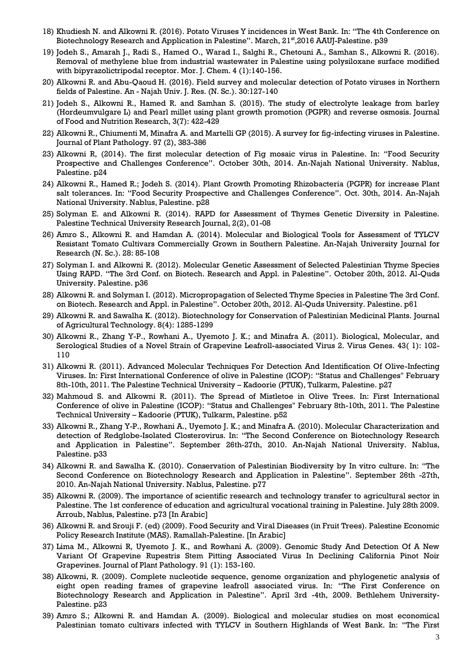- 18) Khudiesh N. and Alkowni R. (2016). Potato Viruses Y incidences in West Bank. In: "The 4th Conference on Biotechnology Research and Application in Palestine". March, 21<sup>st</sup>,2016 AAUJ-Palestine. p39
- 19) Jodeh S., Amarah J., Radi S., Hamed O., Warad I., Salghi R., Chetouni A., Samhan S., Alkowni R. (2016). Removal of methylene blue from industrial wastewater in Palestine using polysiloxane surface modified with bipyrazolictripodal receptor. Mor. J. Chem. 4 (1):140-156.
- 20) Alkowni R. and Abu-Qaoud H. (2016). Field survey and molecular detection of Potato viruses in Northern fields of Palestine. An - Najah Univ. J. Res. (N. Sc.). 30:127-140
- 21) Jodeh S., Alkowni R., Hamed R. and Samhan S. (2015). The study of electrolyte leakage from barley (Hordeumvulgare L) and Pearl millet using plant growth promotion (PGPR) and reverse osmosis. Journal of Food and Nutrition Research, 3(7): 422-429
- 22) Alkowni R., Chiumenti M, Minafra A. and Martelli GP (2015). A survey for fig-infecting viruses in Palestine. Journal of Plant Pathology. 97 (2), 383-386
- 23) Alkowni R, (2014). The first molecular detection of Fig mosaic virus in Palestine. In: "Food Security Prospective and Challenges Conference". October 30th, 2014. An-Najah National University. Nablus, Palestine. p24
- 24) Alkowni R., Hamed R.; Jodeh S. (2014). Plant Growth Promoting Rhizobacteria (PGPR) for increase Plant salt tolerances. In: "Food Security Prospective and Challenges Conference". Oct. 30th, 2014. An-Najah National University. Nablus, Palestine. p28
- 25) Solyman E. and Alkowni R. (2014). RAPD for Assessment of Thymes Genetic Diversity in Palestine. Palestine Technical University Research Journal, 2(2), 01-08
- 26) Amro S., Alkowni R. and Hamdan A. (2014). Molecular and Biological Tools for Assessment of TYLCV Resistant Tomato Cultivars Commercially Grown in Southern Palestine. An-Najah University Journal for Research (N. Sc.). 28: 85-108
- 27) Solyman I. and Alkowni R. (2012). Molecular Genetic Assessment of Selected Palestinian Thyme Species Using RAPD. "The 3rd Conf. on Biotech. Research and Appl. in Palestine". October 20th, 2012. Al-Quds University. Palestine. p36
- 28) Alkowni R. and Solyman I. (2012). Micropropagation of Selected Thyme Species in Palestine The 3rd Conf. on Biotech. Research and Appl. in Palestine". October 20th, 2012. Al-Quds University. Palestine. p61
- 29) Alkowni R. and Sawalha K. (2012). Biotechnology for Conservation of Palestinian Medicinal Plants. Journal of Agricultural Technology. 8(4): 1285-1299
- 30) Alkowni R., Zhang Y-P., Rowhani A., Uyemoto J. K.; and Minafra A. (2011). Biological, Molecular, and Serological Studies of a Novel Strain of Grapevine Leafroll-associated Virus 2. Virus Genes. 43( 1): 102- 110
- 31) Alkowni R. (2011). Advanced Molecular Techniques For Detection And Identification Of Olive-Infecting Viruses. In: First International Conference of olive in Palestine (ICOP): "Status and Challenges" February 8th-10th, 2011. The Palestine Technical University – Kadoorie (PTUK), Tulkarm, Palestine. p27
- 32) Mahmoud S. and Alkowni R. (2011). The Spread of Mistletoe in Olive Trees. In: First International Conference of olive in Palestine (ICOP): "Status and Challenges" February 8th-10th, 2011. The Palestine Technical University – Kadoorie (PTUK), Tulkarm, Palestine. p52
- 33) Alkowni R., Zhang Y-P., Rowhani A., Uyemoto J. K.; and Minafra A. (2010). Molecular Characterization and detection of Redglobe-Isolated Closterovirus. In: "The Second Conference on Biotechnology Research and Application in Palestine". September 26th-27th, 2010. An-Najah National University. Nablus, Palestine. p33
- 34) Alkowni R. and Sawalha K. (2010). Conservation of Palestinian Biodiversity by In vitro culture. In: "The Second Conference on Biotechnology Research and Application in Palestine". September 26th -27th, 2010. An-Najah National University. Nablus, Palestine. p77
- 35) Alkowni R. (2009). The importance of scientific research and technology transfer to agricultural sector in Palestine. The 1st conference of education and agricultural vocational training in Palestine. July 28th 2009. Arroub, Nablus, Palestine. p73 [In Arabic]
- 36) Alkowni R. and Srouji F. (ed) (2009). Food Security and Viral Diseases (in Fruit Trees). Palestine Economic Policy Research Institute (MAS). Ramallah-Palestine. [In Arabic]
- 37) Lima M., Alkowni R, Uyemoto J. K., and Rowhani A. (2009). Genomic Study And Detection Of A New Variant Of Grapevine Rupestris Stem Pitting Associated Virus In Declining California Pinot Noir Grapevines. Journal of Plant Pathology. 91 (1): 153-160.
- 38) Alkowni, R. (2009). Complete nucleotide sequence, genome organization and phylogenetic analysis of eight open reading frames of grapevine leafroll associated virus. In: "The First Conference on Biotechnology Research and Application in Palestine". April 3rd -4th, 2009. Bethlehem University-Palestine. p23
- 39) Amro S.; Alkowni R. and Hamdan A. (2009). Biological and molecular studies on most economical Palestinian tomato cultivars infected with TYLCV in Southern Highlands of West Bank. In: "The First